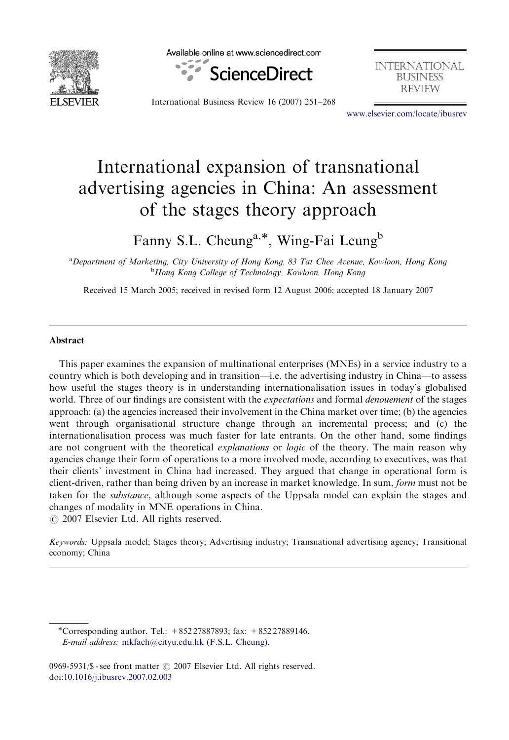

Available online at www.sciencedirect.com



international **BUSINESS REVIEW** 

International Business Review 16 (2007) 251–268

<www.elsevier.com/locate/ibusrev>

# International expansion of transnational advertising agencies in China: An assessment of the stages theory approach

Fanny S.L. Cheung<sup>a,\*</sup>, Wing-Fai Leung<sup>b</sup>

<sup>a</sup> Department of Marketing, City University of Hong Kong, 83 Tat Chee Avenue, Kowloon, Hong Kong **b**Hong Kong College of Technology, Kowloon, Hong Kong

Received 15 March 2005; received in revised form 12 August 2006; accepted 18 January 2007

#### Abstract

This paper examines the expansion of multinational enterprises (MNEs) in a service industry to a country which is both developing and in transition—i.e. the advertising industry in China—to assess how useful the stages theory is in understanding internationalisation issues in today's globalised world. Three of our findings are consistent with the *expectations* and formal *denouement* of the stages approach: (a) the agencies increased their involvement in the China market over time; (b) the agencies went through organisational structure change through an incremental process; and (c) the internationalisation process was much faster for late entrants. On the other hand, some findings are not congruent with the theoretical *explanations* or *logic* of the theory. The main reason why agencies change their form of operations to a more involved mode, according to executives, was that their clients' investment in China had increased. They argued that change in operational form is client-driven, rather than being driven by an increase in market knowledge. In sum, form must not be taken for the substance, although some aspects of the Uppsala model can explain the stages and changes of modality in MNE operations in China.  $O$  2007 Elsevier Ltd. All rights reserved.

Keywords: Uppsala model; Stages theory; Advertising industry; Transnational advertising agency; Transitional economy; China

<sup>-</sup>Corresponding author. Tel.: +852 27887893; fax: +852 27889146. E-mail address: [mkfach@cityu.edu.hk \(F.S.L. Cheung\).](mailto:mkfach@cityu.edu.hk)

<sup>0969-5931/\$ -</sup> see front matter  $\odot$  2007 Elsevier Ltd. All rights reserved. doi[:10.1016/j.ibusrev.2007.02.003](dx.doi.org/10.1016/j.ibusrev.2007.02.003)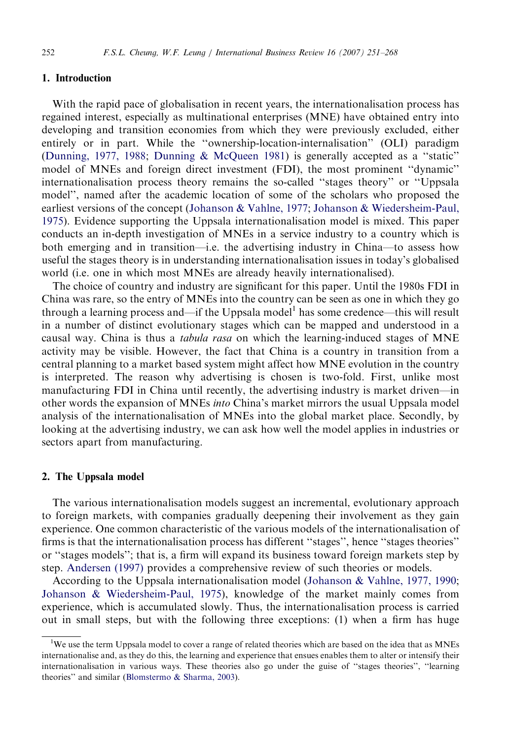### 1. Introduction

With the rapid pace of globalisation in recent years, the internationalisation process has regained interest, especially as multinational enterprises (MNE) have obtained entry into developing and transition economies from which they were previously excluded, either entirely or in part. While the ''ownership-location-internalisation'' (OLI) paradigm ([Dunning, 1977, 1988](#page--1-0); [Dunning & McQueen 1981](#page--1-0)) is generally accepted as a ''static'' model of MNEs and foreign direct investment (FDI), the most prominent ''dynamic'' internationalisation process theory remains the so-called ''stages theory'' or ''Uppsala model'', named after the academic location of some of the scholars who proposed the earliest versions of the concept [\(Johanson](#page--1-0) [& Vahlne, 1977](#page--1-0); [Johanson & Wiedersheim-Paul,](#page--1-0) [1975](#page--1-0)). Evidence supporting the Uppsala internationalisation model is mixed. This paper conducts an in-depth investigation of MNEs in a service industry to a country which is both emerging and in transition—i.e. the advertising industry in China—to assess how useful the stages theory is in understanding internationalisation issues in today's globalised world (i.e. one in which most MNEs are already heavily internationalised).

The choice of country and industry are significant for this paper. Until the 1980s FDI in China was rare, so the entry of MNEs into the country can be seen as one in which they go through a learning process and—if the Uppsala model<sup>1</sup> has some credence—this will result in a number of distinct evolutionary stages which can be mapped and understood in a causal way. China is thus a tabula rasa on which the learning-induced stages of MNE activity may be visible. However, the fact that China is a country in transition from a central planning to a market based system might affect how MNE evolution in the country is interpreted. The reason why advertising is chosen is two-fold. First, unlike most manufacturing FDI in China until recently, the advertising industry is market driven—in other words the expansion of MNEs into China's market mirrors the usual Uppsala model analysis of the internationalisation of MNEs into the global market place. Secondly, by looking at the advertising industry, we can ask how well the model applies in industries or sectors apart from manufacturing.

### 2. The Uppsala model

The various internationalisation models suggest an incremental, evolutionary approach to foreign markets, with companies gradually deepening their involvement as they gain experience. One common characteristic of the various models of the internationalisation of firms is that the internationalisation process has different ''stages'', hence ''stages theories'' or ''stages models''; that is, a firm will expand its business toward foreign markets step by step. [Andersen \(1997\)](#page--1-0) provides a comprehensive review of such theories or models.

According to the Uppsala internationalisation model ([Johanson & Vahlne, 1977, 1990;](#page--1-0) [Johanson & Wiedersheim-Paul, 1975\)](#page--1-0), knowledge of the market mainly comes from experience, which is accumulated slowly. Thus, the internationalisation process is carried out in small steps, but with the following three exceptions: (1) when a firm has huge

<sup>&</sup>lt;sup>1</sup>We use the term Uppsala model to cover a range of related theories which are based on the idea that as MNEs internationalise and, as they do this, the learning and experience that ensues enables them to alter or intensify their internationalisation in various ways. These theories also go under the guise of ''stages theories'', ''learning theories'' and similar ([Blomstermo & Sharma, 2003\)](#page--1-0).